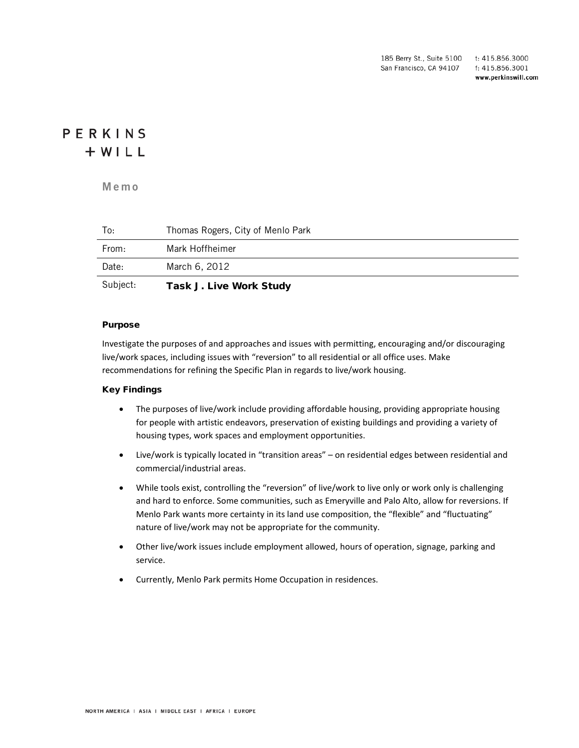185 Berry St., Suite 5100 t: 415.856.3000 San Francisco, CA 94107 f: 415.856.3001 www.perkinswill.com

# PERKINS  $+ WILL$

**Memo**

| Subject: | <b>Task J. Live Work Study</b>    |
|----------|-----------------------------------|
| Date:    | March 6, 2012                     |
| From:    | Mark Hoffheimer                   |
| To:      | Thomas Rogers, City of Menlo Park |

#### Purpose

Investigate the purposes of and approaches and issues with permitting, encouraging and/or discouraging live/work spaces, including issues with "reversion" to all residential or all office uses. Make recommendations for refining the Specific Plan in regards to live/work housing.

## Key Findings

- The purposes of live/work include providing affordable housing, providing appropriate housing for people with artistic endeavors, preservation of existing buildings and providing a variety of housing types, work spaces and employment opportunities.
- Live/work is typically located in "transition areas" on residential edges between residential and commercial/industrial areas.
- While tools exist, controlling the "reversion" of live/work to live only or work only is challenging and hard to enforce. Some communities, such as Emeryville and Palo Alto, allow for reversions. If Menlo Park wants more certainty in its land use composition, the "flexible" and "fluctuating" nature of live/work may not be appropriate for the community.
- Other live/work issues include employment allowed, hours of operation, signage, parking and service.
- Currently, Menlo Park permits Home Occupation in residences.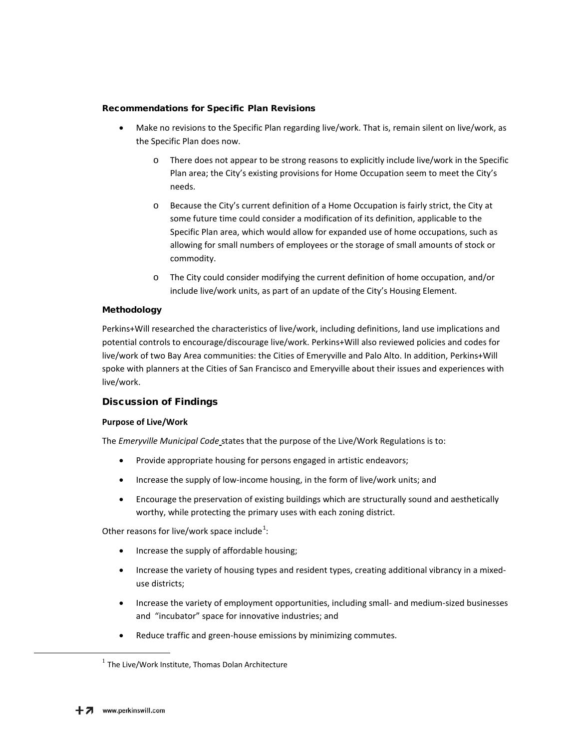## Recommendations for Specific Plan Revisions

- Make no revisions to the Specific Plan regarding live/work. That is, remain silent on live/work, as the Specific Plan does now.
	- o There does not appear to be strong reasons to explicitly include live/work in the Specific Plan area; the City's existing provisions for Home Occupation seem to meet the City's needs.
	- o Because the City's current definition of a Home Occupation is fairly strict, the City at some future time could consider a modification of its definition, applicable to the Specific Plan area, which would allow for expanded use of home occupations, such as allowing for small numbers of employees or the storage of small amounts of stock or commodity.
	- o The City could consider modifying the current definition of home occupation, and/or include live/work units, as part of an update of the City's Housing Element.

## Methodology

Perkins+Will researched the characteristics of live/work, including definitions, land use implications and potential controls to encourage/discourage live/work. Perkins+Will also reviewed policies and codes for live/work of two Bay Area communities: the Cities of Emeryville and Palo Alto. In addition, Perkins+Will spoke with planners at the Cities of San Francisco and Emeryville about their issues and experiences with live/work.

# Discussion of Findings

## **Purpose of Live/Work**

The *Emeryville Municipal Code* states that the purpose of the Live/Work Regulations is to:

- Provide appropriate housing for persons engaged in artistic endeavors;
- Increase the supply of low-income housing, in the form of live/work units; and
- Encourage the preservation of existing buildings which are structurally sound and aesthetically worthy, while protecting the primary uses with each zoning district.

Other reasons for live/work space include<sup>[1](#page-1-0)</sup>:

- Increase the supply of affordable housing;
- Increase the variety of housing types and resident types, creating additional vibrancy in a mixeduse districts;
- Increase the variety of employment opportunities, including small- and medium-sized businesses and "incubator" space for innovative industries; and
- Reduce traffic and green-house emissions by minimizing commutes.

<span id="page-1-0"></span> $1$  The Live/Work Institute, Thomas Dolan Architecture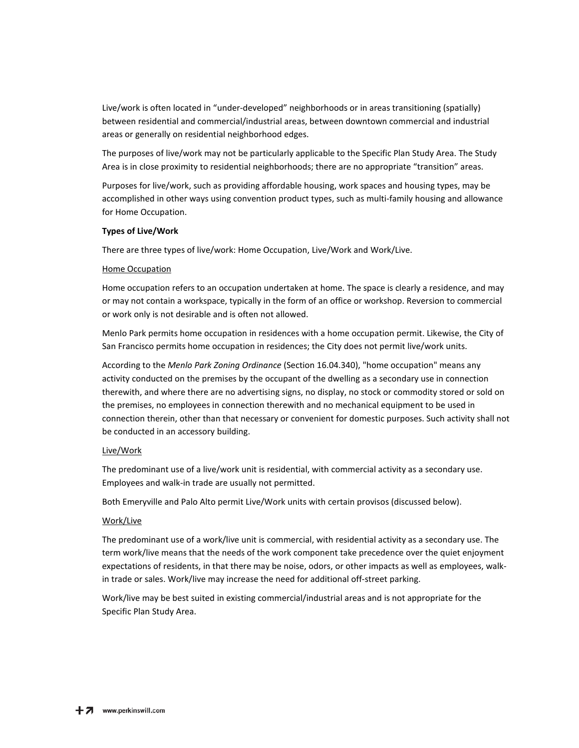Live/work is often located in "under-developed" neighborhoods or in areas transitioning (spatially) between residential and commercial/industrial areas, between downtown commercial and industrial areas or generally on residential neighborhood edges.

The purposes of live/work may not be particularly applicable to the Specific Plan Study Area. The Study Area is in close proximity to residential neighborhoods; there are no appropriate "transition" areas.

Purposes for live/work, such as providing affordable housing, work spaces and housing types, may be accomplished in other ways using convention product types, such as multi-family housing and allowance for Home Occupation.

#### **Types of Live/Work**

There are three types of live/work: Home Occupation, Live/Work and Work/Live.

#### Home Occupation

Home occupation refers to an occupation undertaken at home. The space is clearly a residence, and may or may not contain a workspace, typically in the form of an office or workshop. Reversion to commercial or work only is not desirable and is often not allowed.

Menlo Park permits home occupation in residences with a home occupation permit. Likewise, the City of San Francisco permits home occupation in residences; the City does not permit live/work units.

According to the *Menlo Park Zoning Ordinance* (Section 16.04.340), "home occupation" means any activity conducted on the premises by the occupant of the dwelling as a secondary use in connection therewith, and where there are no advertising signs, no display, no stock or commodity stored or sold on the premises, no employees in connection therewith and no mechanical equipment to be used in connection therein, other than that necessary or convenient for domestic purposes. Such activity shall not be conducted in an accessory building.

## Live/Work

The predominant use of a live/work unit is residential, with commercial activity as a secondary use. Employees and walk-in trade are usually not permitted.

Both Emeryville and Palo Alto permit Live/Work units with certain provisos (discussed below).

#### Work/Live

The predominant use of a work/live unit is commercial, with residential activity as a secondary use. The term work/live means that the needs of the work component take precedence over the quiet enjoyment expectations of residents, in that there may be noise, odors, or other impacts as well as employees, walkin trade or sales. Work/live may increase the need for additional off-street parking.

Work/live may be best suited in existing commercial/industrial areas and is not appropriate for the Specific Plan Study Area.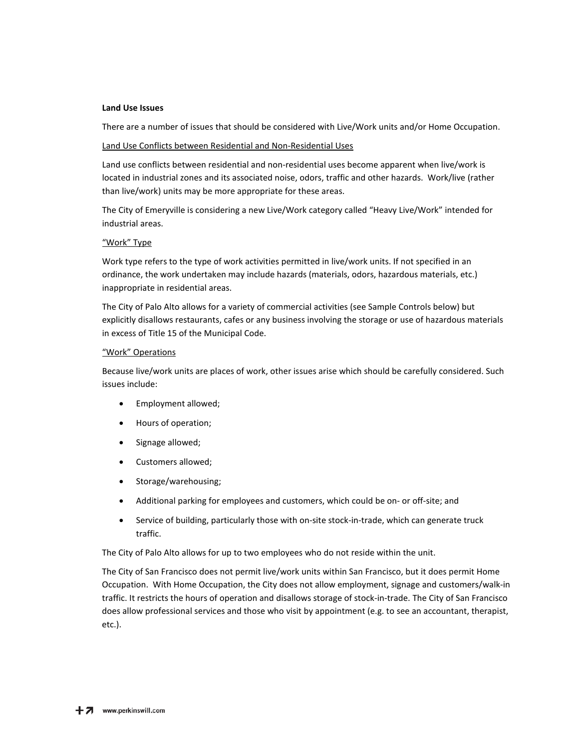#### **Land Use Issues**

There are a number of issues that should be considered with Live/Work units and/or Home Occupation.

#### Land Use Conflicts between Residential and Non-Residential Uses

Land use conflicts between residential and non-residential uses become apparent when live/work is located in industrial zones and its associated noise, odors, traffic and other hazards. Work/live (rather than live/work) units may be more appropriate for these areas.

The City of Emeryville is considering a new Live/Work category called "Heavy Live/Work" intended for industrial areas.

#### "Work" Type

Work type refers to the type of work activities permitted in live/work units. If not specified in an ordinance, the work undertaken may include hazards (materials, odors, hazardous materials, etc.) inappropriate in residential areas.

The City of Palo Alto allows for a variety of commercial activities (see Sample Controls below) but explicitly disallows restaurants, cafes or any business involving the storage or use of hazardous materials in excess of Title 15 of the Municipal Code.

#### "Work" Operations

Because live/work units are places of work, other issues arise which should be carefully considered. Such issues include:

- Employment allowed;
- Hours of operation;
- Signage allowed;
- Customers allowed;
- Storage/warehousing;
- Additional parking for employees and customers, which could be on- or off-site; and
- Service of building, particularly those with on-site stock-in-trade, which can generate truck traffic.

The City of Palo Alto allows for up to two employees who do not reside within the unit.

The City of San Francisco does not permit live/work units within San Francisco, but it does permit Home Occupation. With Home Occupation, the City does not allow employment, signage and customers/walk-in traffic. It restricts the hours of operation and disallows storage of stock-in-trade. The City of San Francisco does allow professional services and those who visit by appointment (e.g. to see an accountant, therapist, etc.).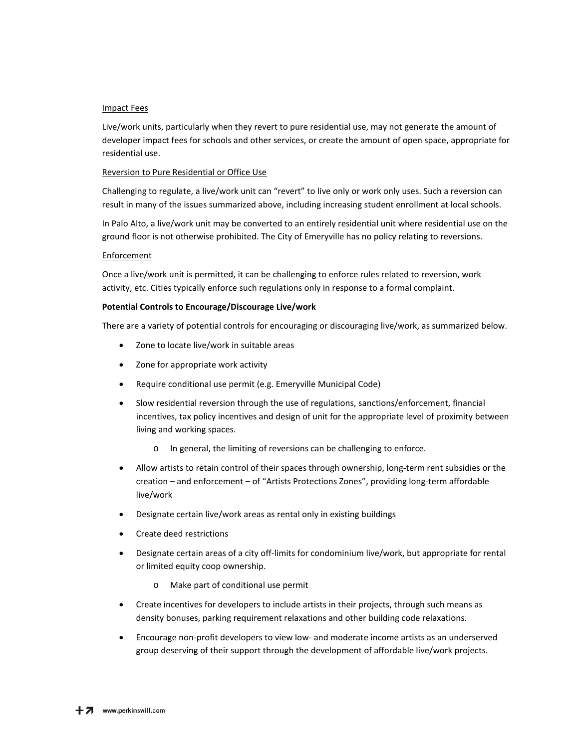## Impact Fees

Live/work units, particularly when they revert to pure residential use, may not generate the amount of developer impact fees for schools and other services, or create the amount of open space, appropriate for residential use.

## Reversion to Pure Residential or Office Use

Challenging to regulate, a live/work unit can "revert" to live only or work only uses. Such a reversion can result in many of the issues summarized above, including increasing student enrollment at local schools.

In Palo Alto, a live/work unit may be converted to an entirely residential unit where residential use on the ground floor is not otherwise prohibited. The City of Emeryville has no policy relating to reversions.

#### Enforcement

Once a live/work unit is permitted, it can be challenging to enforce rules related to reversion, work activity, etc. Cities typically enforce such regulations only in response to a formal complaint.

## **Potential Controls to Encourage/Discourage Live/work**

There are a variety of potential controls for encouraging or discouraging live/work, as summarized below.

- Zone to locate live/work in suitable areas
- Zone for appropriate work activity
- Require conditional use permit (e.g. Emeryville Municipal Code)
- Slow residential reversion through the use of regulations, sanctions/enforcement, financial incentives, tax policy incentives and design of unit for the appropriate level of proximity between living and working spaces.
	- o In general, the limiting of reversions can be challenging to enforce.
- Allow artists to retain control of their spaces through ownership, long-term rent subsidies or the creation – and enforcement – of "Artists Protections Zones", providing long-term affordable live/work
- Designate certain live/work areas as rental only in existing buildings
- Create deed restrictions
- Designate certain areas of a city off-limits for condominium live/work, but appropriate for rental or limited equity coop ownership.
	- o Make part of conditional use permit
- Create incentives for developers to include artists in their projects, through such means as density bonuses, parking requirement relaxations and other building code relaxations.
- Encourage non-profit developers to view low- and moderate income artists as an underserved group deserving of their support through the development of affordable live/work projects.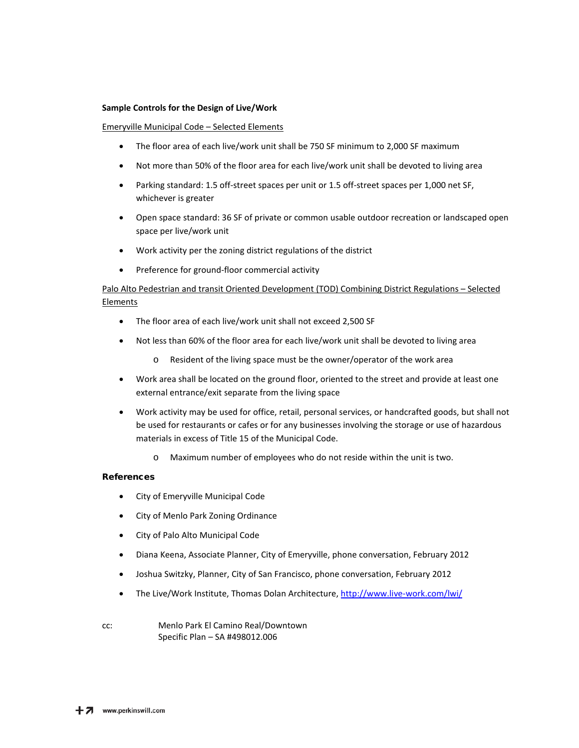#### **Sample Controls for the Design of Live/Work**

#### Emeryville Municipal Code – Selected Elements

- The floor area of each live/work unit shall be 750 SF minimum to 2,000 SF maximum
- Not more than 50% of the floor area for each live/work unit shall be devoted to living area
- Parking standard: 1.5 off-street spaces per unit or 1.5 off-street spaces per 1,000 net SF, whichever is greater
- Open space standard: 36 SF of private or common usable outdoor recreation or landscaped open space per live/work unit
- Work activity per the zoning district regulations of the district
- Preference for ground-floor commercial activity

# Palo Alto Pedestrian and transit Oriented Development (TOD) Combining District Regulations – Selected Elements

- The floor area of each live/work unit shall not exceed 2,500 SF
- Not less than 60% of the floor area for each live/work unit shall be devoted to living area
	- o Resident of the living space must be the owner/operator of the work area
- Work area shall be located on the ground floor, oriented to the street and provide at least one external entrance/exit separate from the living space
- Work activity may be used for office, retail, personal services, or handcrafted goods, but shall not be used for restaurants or cafes or for any businesses involving the storage or use of hazardous materials in excess of Title 15 of the Municipal Code.
	- o Maximum number of employees who do not reside within the unit is two.

#### References

- City of Emeryville Municipal Code
- City of Menlo Park Zoning Ordinance
- City of Palo Alto Municipal Code
- Diana Keena, Associate Planner, City of Emeryville, phone conversation, February 2012
- Joshua Switzky, Planner, City of San Francisco, phone conversation, February 2012
- The Live/Work Institute, Thomas Dolan Architecture[, http://www.live-work.com/lwi/](http://www.live-work.com/lwi/)
- cc: Menlo Park El Camino Real/Downtown Specific Plan – SA #498012.006